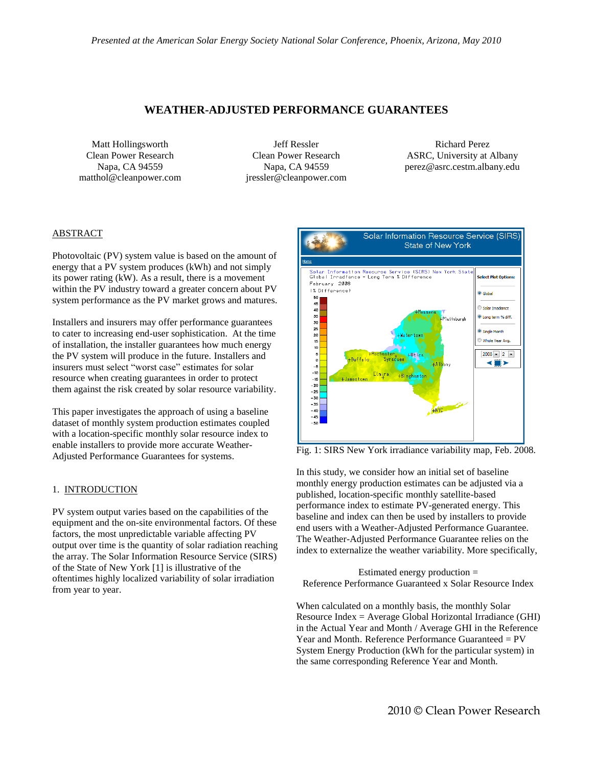# **WEATHER-ADJUSTED PERFORMANCE GUARANTEES**

Matt Hollingsworth Clean Power Research Napa, CA 94559 matthol@cleanpower.com

Jeff Ressler Clean Power Research Napa, CA 94559 jressler@cleanpower.com

Richard Perez ASRC, University at Albany perez@asrc.cestm.albany.edu

# ABSTRACT

Photovoltaic (PV) system value is based on the amount of energy that a PV system produces (kWh) and not simply its power rating (kW). As a result, there is a movement within the PV industry toward a greater concern about PV system performance as the PV market grows and matures.

Installers and insurers may offer performance guarantees to cater to increasing end-user sophistication. At the time of installation, the installer guarantees how much energy the PV system will produce in the future. Installers and insurers must select "worst case" estimates for solar resource when creating guarantees in order to protect them against the risk created by solar resource variability.

This paper investigates the approach of using a baseline dataset of monthly system production estimates coupled with a location-specific monthly solar resource index to enable installers to provide more accurate Weather-Adjusted Performance Guarantees for systems.

## 1. INTRODUCTION

PV system output varies based on the capabilities of the equipment and the on-site environmental factors. Of these factors, the most unpredictable variable affecting PV output over time is the quantity of solar radiation reaching the array. The Solar Information Resource Service (SIRS) of the State of New York [1] is illustrative of the oftentimes highly localized variability of solar irradiation from year to year.



Fig. 1: SIRS New York irradiance variability map, Feb. 2008.

In this study, we consider how an initial set of baseline monthly energy production estimates can be adjusted via a published, location-specific monthly satellite-based performance index to estimate PV-generated energy. This baseline and index can then be used by installers to provide end users with a Weather-Adjusted Performance Guarantee. The Weather-Adjusted Performance Guarantee relies on the index to externalize the weather variability. More specifically,

Estimated energy production = Reference Performance Guaranteed x Solar Resource Index

When calculated on a monthly basis, the monthly Solar Resource Index = Average Global Horizontal Irradiance (GHI) in the Actual Year and Month / Average GHI in the Reference Year and Month. Reference Performance Guaranteed = PV System Energy Production (kWh for the particular system) in the same corresponding Reference Year and Month.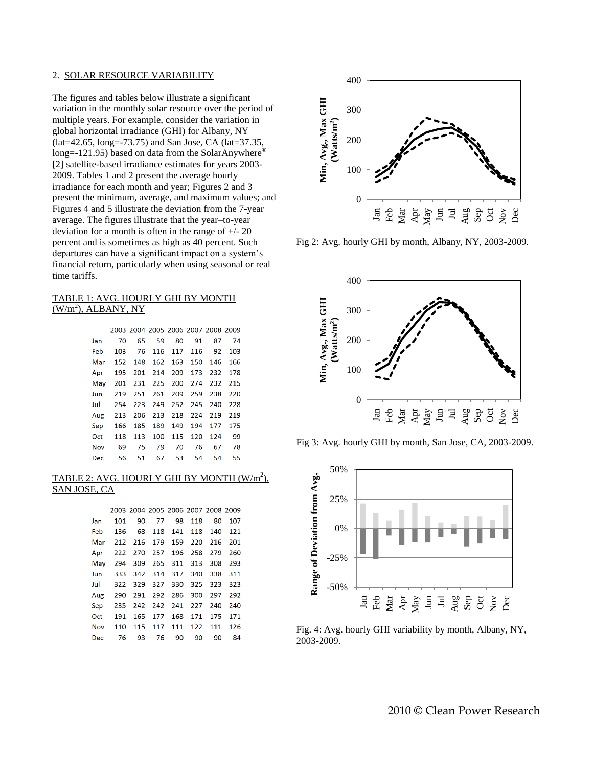### 2. SOLAR RESOURCE VARIABILITY

The figures and tables below illustrate a significant variation in the monthly solar resource over the period of multiple years. For example, consider the variation in global horizontal irradiance (GHI) for Albany, NY (lat=42.65, long=-73.75) and San Jose, CA (lat=37.35, long=-121.95) based on data from the SolarAnywhere<sup>®</sup> [2] satellite-based irradiance estimates for years 2003- 2009. Tables 1 and 2 present the average hourly irradiance for each month and year; Figures 2 and 3 present the minimum, average, and maximum values; and Figures 4 and 5 illustrate the deviation from the 7-year average. The figures illustrate that the year–to-year deviation for a month is often in the range of  $+/- 20$ percent and is sometimes as high as 40 percent. Such departures can have a significant impact on a system's financial return, particularly when using seasonal or real time tariffs.

## TABLE 1: AVG. HOURLY GHI BY MONTH  $(W/m<sup>2</sup>)$ , ALBANY, NY

|            |     | 2003 2004 2005 2006 2007 2008 2009 |     |     |     |     |     |
|------------|-----|------------------------------------|-----|-----|-----|-----|-----|
| Jan        | 70  | 65                                 | 59  | 80  | 91  | 87  | 74  |
| Feb        | 103 | 76                                 | 116 | 117 | 116 | 92  | 103 |
| Mar        | 152 | 148                                | 162 | 163 | 150 | 146 | 166 |
| Apr        | 195 | 201                                | 214 | 209 | 173 | 232 | 178 |
| Mav        | 201 | 231                                | 225 | 200 | 274 | 232 | 215 |
| Jun        | 219 | 251                                | 261 | 209 | 259 | 238 | 220 |
| Jul        | 254 | 223                                | 249 | 252 | 245 | 240 | 228 |
| Aug        | 213 | 206                                | 213 | 218 | 224 | 219 | 219 |
| Sep        | 166 | 185                                | 189 | 149 | 194 | 177 | 175 |
| Oct        | 118 | 113                                | 100 | 115 | 120 | 124 | 99  |
| <b>Nov</b> | 69  | 75                                 | 79  | 70  | 76  | 67  | 78  |
| Dec        | 56  | 51                                 | 67  | 53  | 54  | 54  | 55  |

# TABLE 2: AVG. HOURLY GHI BY MONTH  $(\mathrm{W/m}^2)_{\ast}$ SAN JOSE, CA

|            |                 |     |     | 2003 2004 2005 2006 2007 2008 2009 |        |         |     |
|------------|-----------------|-----|-----|------------------------------------|--------|---------|-----|
| Jan        | 101             | 90  | 77  |                                    | 98 118 | 80      | 107 |
| Feb        | 136             | 68  |     | 118 141                            |        | 118 140 | 121 |
| Mar        | 212 216 179 159 |     |     |                                    | 220    | 216     | 201 |
| Apr        | 222             |     |     | 270 257 196                        | 258    | 279     | 260 |
| May        | 294             | 309 |     | 265 311                            | 313    | 308     | 293 |
| Jun        | 333             |     |     | 342 314 317                        | 340    | 338     | 311 |
| Jul        | 322             |     |     | 329 327 330                        | 325    | 323     | 323 |
|            | Aug 290         | 291 |     | 292 286                            | 300    | 297     | 292 |
| Sep        | 235             | 242 |     | 242 241                            | 227    | 240     | 240 |
| Oct        | 191             | 165 |     | 177 168                            | 171    | 175     | 171 |
| <b>Nov</b> | 110             | 115 | 117 | 111                                | 122    | 111     | 126 |
| Dec        | 76              | 93  | 76  | 90                                 | 90     | 90      | 84  |



Fig 2: Avg. hourly GHI by month, Albany, NY, 2003-2009.



Fig 3: Avg. hourly GHI by month, San Jose, CA, 2003-2009.



Fig. 4: Avg. hourly GHI variability by month, Albany, NY, 2003-2009.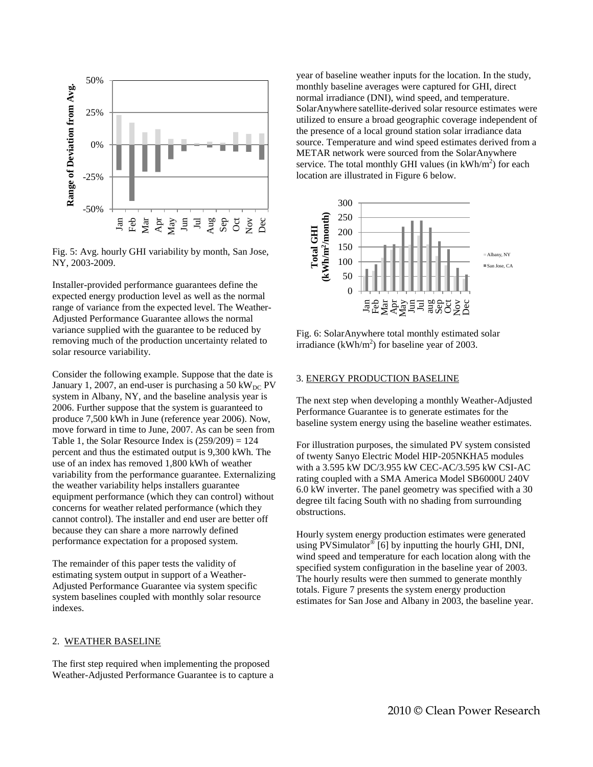

Fig. 5: Avg. hourly GHI variability by month, San Jose, NY, 2003-2009.

Installer-provided performance guarantees define the expected energy production level as well as the normal range of variance from the expected level. The Weather-Adjusted Performance Guarantee allows the normal variance supplied with the guarantee to be reduced by removing much of the production uncertainty related to solar resource variability.

Consider the following example. Suppose that the date is January 1, 2007, an end-user is purchasing a 50 kW<sub>DC</sub> PV system in Albany, NY, and the baseline analysis year is 2006. Further suppose that the system is guaranteed to produce 7,500 kWh in June (reference year 2006). Now, move forward in time to June, 2007. As can be seen from Table 1, the Solar Resource Index is  $(259/209) = 124$ percent and thus the estimated output is 9,300 kWh. The use of an index has removed 1,800 kWh of weather variability from the performance guarantee. Externalizing the weather variability helps installers guarantee equipment performance (which they can control) without concerns for weather related performance (which they cannot control). The installer and end user are better off because they can share a more narrowly defined performance expectation for a proposed system.

The remainder of this paper tests the validity of estimating system output in support of a Weather-Adjusted Performance Guarantee via system specific system baselines coupled with monthly solar resource indexes.

#### 2. WEATHER BASELINE

The first step required when implementing the proposed Weather-Adjusted Performance Guarantee is to capture a year of baseline weather inputs for the location. In the study, monthly baseline averages were captured for GHI, direct normal irradiance (DNI), wind speed, and temperature. SolarAnywhere satellite-derived solar resource estimates were utilized to ensure a broad geographic coverage independent of the presence of a local ground station solar irradiance data source. Temperature and wind speed estimates derived from a METAR network were sourced from the SolarAnywhere service. The total monthly GHI values (in  $kWh/m^2$ ) for each location are illustrated in Figure 6 below.



Fig. 6: SolarAnywhere total monthly estimated solar irradiance (kWh/m<sup>2</sup>) for baseline year of 2003.

#### 3. ENERGY PRODUCTION BASELINE

The next step when developing a monthly Weather-Adjusted Performance Guarantee is to generate estimates for the baseline system energy using the baseline weather estimates.

For illustration purposes, the simulated PV system consisted of twenty Sanyo Electric Model HIP-205NKHA5 modules with a 3.595 kW DC/3.955 kW CEC-AC/3.595 kW CSI-AC rating coupled with a SMA America Model SB6000U 240V 6.0 kW inverter. The panel geometry was specified with a 30 degree tilt facing South with no shading from surrounding obstructions.

Hourly system energy production estimates were generated using PVSimulator<sup>®</sup> [6] by inputting the hourly GHI, DNI, wind speed and temperature for each location along with the specified system configuration in the baseline year of 2003. The hourly results were then summed to generate monthly totals. Figure 7 presents the system energy production estimates for San Jose and Albany in 2003, the baseline year.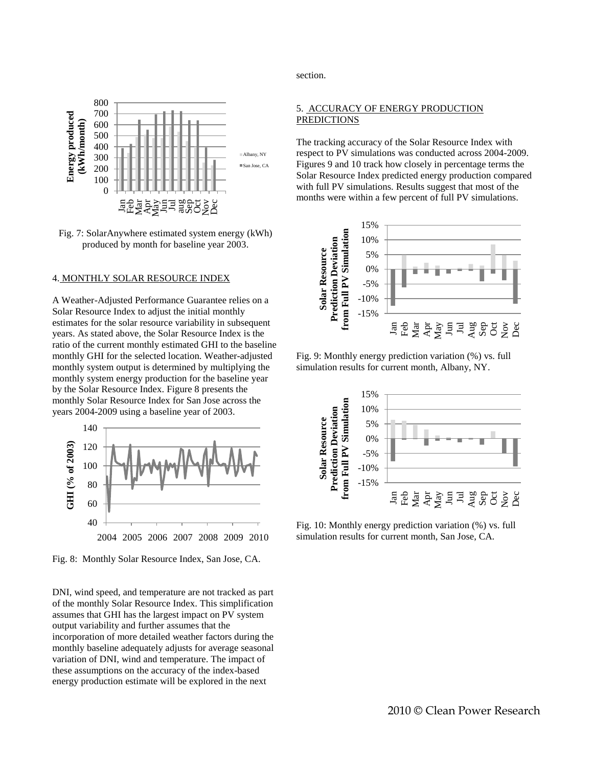

Fig. 7: SolarAnywhere estimated system energy (kWh) produced by month for baseline year 2003.

### 4. MONTHLY SOLAR RESOURCE INDEX

A Weather-Adjusted Performance Guarantee relies on a Solar Resource Index to adjust the initial monthly estimates for the solar resource variability in subsequent years. As stated above, the Solar Resource Index is the ratio of the current monthly estimated GHI to the baseline monthly GHI for the selected location. Weather-adjusted monthly system output is determined by multiplying the monthly system energy production for the baseline year by the Solar Resource Index. Figure 8 presents the monthly Solar Resource Index for San Jose across the years 2004-2009 using a baseline year of 2003.



Fig. 8: Monthly Solar Resource Index, San Jose, CA.

DNI, wind speed, and temperature are not tracked as part of the monthly Solar Resource Index. This simplification assumes that GHI has the largest impact on PV system output variability and further assumes that the incorporation of more detailed weather factors during the monthly baseline adequately adjusts for average seasonal variation of DNI, wind and temperature. The impact of these assumptions on the accuracy of the index-based energy production estimate will be explored in the next

section.

## 5. ACCURACY OF ENERGY PRODUCTION PREDICTIONS

The tracking accuracy of the Solar Resource Index with respect to PV simulations was conducted across 2004-2009. Figures 9 and 10 track how closely in percentage terms the Solar Resource Index predicted energy production compared with full PV simulations. Results suggest that most of the months were within a few percent of full PV simulations.



Fig. 9: Monthly energy prediction variation (%) vs. full simulation results for current month, Albany, NY.



Fig. 10: Monthly energy prediction variation (%) vs. full simulation results for current month, San Jose, CA.